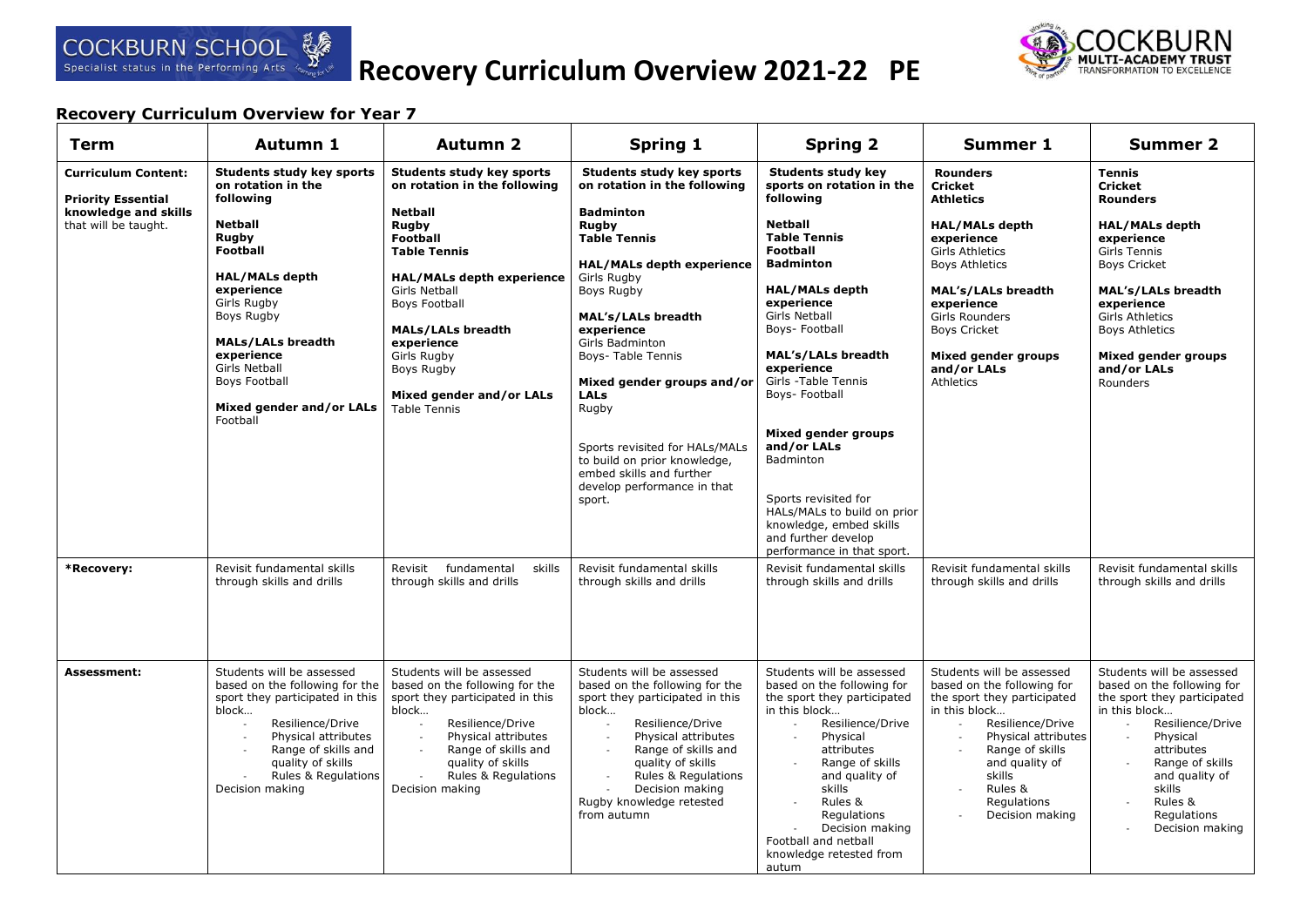

# **Recovery Curriculum Overview 2021-22 PE**



| <b>Term</b>                                                                                                           | Autumn 1                                                                                                                                                                                                                                                                                                                                                                    | <b>Autumn 2</b>                                                                                                                                                                                                                                                                                                                                                                                                   | <b>Spring 1</b>                                                                                                                                                                                                                                                                                                                                                                                                                                                                                                                          | <b>Spring 2</b>                                                                                                                                                                                                                                                                                                                                                                                                                                                                                                                                                                      | Summer 1                                                                                                                                                                                                                                                                                                                                                 | <b>Summer 2</b>                                                                                                                                                                                                                                                                                                                      |
|-----------------------------------------------------------------------------------------------------------------------|-----------------------------------------------------------------------------------------------------------------------------------------------------------------------------------------------------------------------------------------------------------------------------------------------------------------------------------------------------------------------------|-------------------------------------------------------------------------------------------------------------------------------------------------------------------------------------------------------------------------------------------------------------------------------------------------------------------------------------------------------------------------------------------------------------------|------------------------------------------------------------------------------------------------------------------------------------------------------------------------------------------------------------------------------------------------------------------------------------------------------------------------------------------------------------------------------------------------------------------------------------------------------------------------------------------------------------------------------------------|--------------------------------------------------------------------------------------------------------------------------------------------------------------------------------------------------------------------------------------------------------------------------------------------------------------------------------------------------------------------------------------------------------------------------------------------------------------------------------------------------------------------------------------------------------------------------------------|----------------------------------------------------------------------------------------------------------------------------------------------------------------------------------------------------------------------------------------------------------------------------------------------------------------------------------------------------------|--------------------------------------------------------------------------------------------------------------------------------------------------------------------------------------------------------------------------------------------------------------------------------------------------------------------------------------|
| <b>Curriculum Content:</b><br><b>Priority Essential</b><br>knowledge and skills<br>that will be taught.<br>*Recovery: | <b>Students study key sports</b><br>on rotation in the<br>following<br><b>Netball</b><br>Rugby<br><b>Football</b><br><b>HAL/MALs depth</b><br>experience<br>Girls Rugby<br>Boys Rugby<br><b>MALs/LALs breadth</b><br>experience<br><b>Girls Netball</b><br>Boys Football<br>Mixed gender and/or LALs<br>Football<br>Revisit fundamental skills<br>through skills and drills | <b>Students study key sports</b><br>on rotation in the following<br><b>Netball</b><br>Rugby<br><b>Football</b><br><b>Table Tennis</b><br><b>HAL/MALs depth experience</b><br><b>Girls Netball</b><br><b>Boys Football</b><br><b>MALs/LALs breadth</b><br>experience<br>Girls Rugby<br>Boys Rugby<br>Mixed gender and/or LALs<br><b>Table Tennis</b><br>Revisit fundamental<br>skills<br>through skills and drills | Students study key sports<br>on rotation in the following<br><b>Badminton</b><br><b>Rugby</b><br><b>Table Tennis</b><br><b>HAL/MALs depth experience</b><br>Girls Rugby<br>Boys Rugby<br><b>MAL's/LALs breadth</b><br>experience<br>Girls Badminton<br><b>Boys- Table Tennis</b><br>Mixed gender groups and/or<br><b>LALs</b><br>Rugby<br>Sports revisited for HALs/MALs<br>to build on prior knowledge,<br>embed skills and further<br>develop performance in that<br>sport.<br>Revisit fundamental skills<br>through skills and drills | <b>Students study key</b><br>sports on rotation in the<br>following<br><b>Netball</b><br><b>Table Tennis</b><br><b>Football</b><br><b>Badminton</b><br><b>HAL/MALs depth</b><br>experience<br><b>Girls Netball</b><br>Boys- Football<br><b>MAL's/LALs breadth</b><br>experience<br>Girls -Table Tennis<br>Boys- Football<br>Mixed gender groups<br>and/or LALs<br><b>Badminton</b><br>Sports revisited for<br>HALs/MALs to build on prior<br>knowledge, embed skills<br>and further develop<br>performance in that sport.<br>Revisit fundamental skills<br>through skills and drills | <b>Rounders</b><br><b>Cricket</b><br><b>Athletics</b><br><b>HAL/MALs depth</b><br>experience<br><b>Girls Athletics</b><br><b>Boys Athletics</b><br><b>MAL's/LALs breadth</b><br>experience<br>Girls Rounders<br><b>Boys Cricket</b><br><b>Mixed gender groups</b><br>and/or LALs<br>Athletics<br>Revisit fundamental skills<br>through skills and drills | <b>Tennis</b><br><b>Cricket</b><br><b>Rounders</b><br><b>HAL/MALs depth</b><br>experience<br>Girls Tennis<br><b>Boys Cricket</b><br>MAL's/LALs breadth<br>experience<br><b>Girls Athletics</b><br><b>Boys Athletics</b><br>Mixed gender groups<br>and/or LALs<br>Rounders<br>Revisit fundamental skills<br>through skills and drills |
| <b>Assessment:</b>                                                                                                    | Students will be assessed<br>based on the following for the<br>sport they participated in this<br>block<br>Resilience/Drive<br>Physical attributes<br>Range of skills and<br>quality of skills<br>Rules & Regulations<br>Decision making                                                                                                                                    | Students will be assessed<br>based on the following for the<br>sport they participated in this<br>block<br>Resilience/Drive<br>Physical attributes<br>Range of skills and<br>quality of skills<br>Rules & Regulations<br>Decision making                                                                                                                                                                          | Students will be assessed<br>based on the following for the<br>sport they participated in this<br>block<br>Resilience/Drive<br>Physical attributes<br>$\mathcal{A}$<br>Range of skills and<br>$\sim$<br>quality of skills<br>Rules & Regulations<br>$\sim$<br>Decision making<br>Rugby knowledge retested<br>from autumn                                                                                                                                                                                                                 | Students will be assessed<br>based on the following for<br>the sport they participated<br>in this block<br>Resilience/Drive<br>$\sim$<br>Physical<br>attributes<br>Range of skills<br>and quality of<br>skills<br>Rules &<br>Regulations<br>Decision making<br>Football and netball<br>knowledge retested from<br>autum                                                                                                                                                                                                                                                              | Students will be assessed<br>based on the following for<br>the sport they participated<br>in this block<br>Resilience/Drive<br>$\overline{\phantom{a}}$<br>Physical attributes<br>$\sim$<br>Range of skills<br>and quality of<br>skills<br>Rules &<br>$\sim$<br>Regulations<br>Decision making                                                           | Students will be assessed<br>based on the following for<br>the sport they participated<br>in this block<br>Resilience/Drive<br>Physical<br>attributes<br>Range of skills<br>and quality of<br>skills<br>Rules &<br>Regulations<br>Decision making                                                                                    |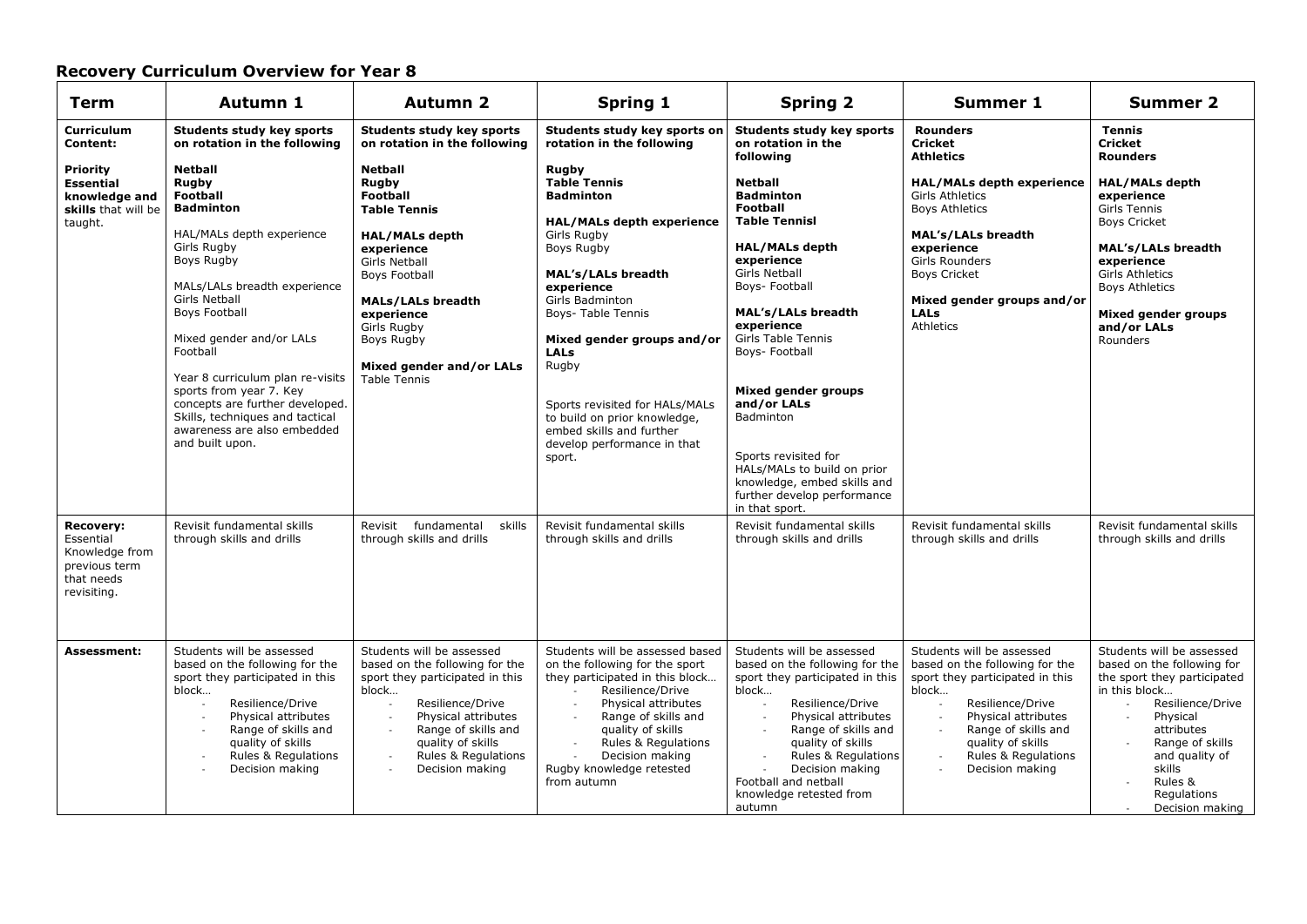| <b>Term</b>                                                                                   | Autumn 1                                                                                                                                                                                                                                                                                                                                                                                                                         | <b>Autumn 2</b>                                                                                                                                                                                                                                                             | <b>Spring 1</b>                                                                                                                                                                                                                                                                                                                                                                                    | <b>Spring 2</b>                                                                                                                                                                                                                                                                                                                                                                                                                                   | <b>Summer 1</b>                                                                                                                                                                                                                                           | <b>Summer 2</b>                                                                                                                                                                                                                                      |
|-----------------------------------------------------------------------------------------------|----------------------------------------------------------------------------------------------------------------------------------------------------------------------------------------------------------------------------------------------------------------------------------------------------------------------------------------------------------------------------------------------------------------------------------|-----------------------------------------------------------------------------------------------------------------------------------------------------------------------------------------------------------------------------------------------------------------------------|----------------------------------------------------------------------------------------------------------------------------------------------------------------------------------------------------------------------------------------------------------------------------------------------------------------------------------------------------------------------------------------------------|---------------------------------------------------------------------------------------------------------------------------------------------------------------------------------------------------------------------------------------------------------------------------------------------------------------------------------------------------------------------------------------------------------------------------------------------------|-----------------------------------------------------------------------------------------------------------------------------------------------------------------------------------------------------------------------------------------------------------|------------------------------------------------------------------------------------------------------------------------------------------------------------------------------------------------------------------------------------------------------|
| <b>Curriculum</b><br>Content:                                                                 | Students study key sports<br>on rotation in the following                                                                                                                                                                                                                                                                                                                                                                        | <b>Students study key sports</b><br>on rotation in the following                                                                                                                                                                                                            | Students study key sports on<br>rotation in the following                                                                                                                                                                                                                                                                                                                                          | <b>Students study key sports</b><br>on rotation in the                                                                                                                                                                                                                                                                                                                                                                                            | <b>Rounders</b><br>Cricket                                                                                                                                                                                                                                | <b>Tennis</b><br><b>Cricket</b>                                                                                                                                                                                                                      |
| <b>Priority</b><br><b>Essential</b><br>knowledge and<br>skills that will be<br>taught.        | <b>Netball</b><br>Rugby<br><b>Football</b><br><b>Badminton</b><br>HAL/MALs depth experience<br>Girls Rugby<br>Boys Rugby<br>MALs/LALs breadth experience<br>Girls Netball<br><b>Boys Football</b><br>Mixed gender and/or LALs<br>Football<br>Year 8 curriculum plan re-visits<br>sports from year 7. Key<br>concepts are further developed.<br>Skills, techniques and tactical<br>awareness are also embedded<br>and built upon. | <b>Netball</b><br>Rugby<br><b>Football</b><br><b>Table Tennis</b><br><b>HAL/MALs depth</b><br>experience<br>Girls Netball<br><b>Boys Football</b><br><b>MALs/LALs breadth</b><br>experience<br>Girls Rugby<br>Boys Rugby<br>Mixed gender and/or LALs<br><b>Table Tennis</b> | Rugby<br><b>Table Tennis</b><br><b>Badminton</b><br><b>HAL/MALs depth experience</b><br>Girls Rugby<br>Boys Rugby<br><b>MAL's/LALs breadth</b><br>experience<br>Girls Badminton<br>Boys- Table Tennis<br>Mixed gender groups and/or<br><b>LALs</b><br>Rugby<br>Sports revisited for HALs/MALs<br>to build on prior knowledge,<br>embed skills and further<br>develop performance in that<br>sport. | following<br>Netball<br><b>Badminton</b><br><b>Football</b><br><b>Table Tennisl</b><br><b>HAL/MALs depth</b><br>experience<br>Girls Netball<br>Boys- Football<br><b>MAL's/LALs breadth</b><br>experience<br>Girls Table Tennis<br>Boys- Football<br><b>Mixed gender groups</b><br>and/or LALs<br>Badminton<br>Sports revisited for<br>HALs/MALs to build on prior<br>knowledge, embed skills and<br>further develop performance<br>in that sport. | <b>Athletics</b><br><b>HAL/MALs depth experience</b><br><b>Girls Athletics</b><br><b>Boys Athletics</b><br><b>MAL's/LALs breadth</b><br>experience<br>Girls Rounders<br><b>Boys Cricket</b><br>Mixed gender groups and/or<br><b>LALs</b><br>Athletics     | <b>Rounders</b><br><b>HAL/MALs depth</b><br>experience<br><b>Girls Tennis</b><br><b>Boys Cricket</b><br><b>MAL's/LALs breadth</b><br>experience<br><b>Girls Athletics</b><br><b>Boys Athletics</b><br>Mixed gender groups<br>and/or LALs<br>Rounders |
| <b>Recovery:</b><br>Essential<br>Knowledge from<br>previous term<br>that needs<br>revisiting. | Revisit fundamental skills<br>through skills and drills                                                                                                                                                                                                                                                                                                                                                                          | Revisit fundamental<br>skills<br>through skills and drills                                                                                                                                                                                                                  | Revisit fundamental skills<br>through skills and drills                                                                                                                                                                                                                                                                                                                                            | Revisit fundamental skills<br>through skills and drills                                                                                                                                                                                                                                                                                                                                                                                           | Revisit fundamental skills<br>through skills and drills                                                                                                                                                                                                   | Revisit fundamental skills<br>through skills and drills                                                                                                                                                                                              |
| <b>Assessment:</b>                                                                            | Students will be assessed<br>based on the following for the<br>sport they participated in this<br>block<br>Resilience/Drive<br>Physical attributes<br>Range of skills and<br>$\overline{\phantom{a}}$<br>quality of skills<br>Rules & Regulations<br>Decision making                                                                                                                                                             | Students will be assessed<br>based on the following for the<br>sport they participated in this<br>block<br>Resilience/Drive<br>Physical attributes<br>Range of skills and<br>quality of skills<br>Rules & Regulations<br>Decision making                                    | Students will be assessed based<br>on the following for the sport<br>they participated in this block<br>Resilience/Drive<br>Physical attributes<br>$\overline{\phantom{a}}$<br>Range of skills and<br>$\overline{\phantom{a}}$<br>quality of skills<br>Rules & Regulations<br>$\overline{a}$<br>Decision making<br>Rugby knowledge retested<br>from autumn                                         | Students will be assessed<br>based on the following for the<br>sport they participated in this<br>block<br>Resilience/Drive<br>Physical attributes<br>Range of skills and<br>$\sim$<br>quality of skills<br>Rules & Regulations<br>Decision making<br>Football and netball<br>knowledge retested from<br>autumn                                                                                                                                   | Students will be assessed<br>based on the following for the<br>sport they participated in this<br>block<br>Resilience/Drive<br>Physical attributes<br>Range of skills and<br>quality of skills<br>Rules & Regulations<br>$\mathcal{L}$<br>Decision making | Students will be assessed<br>based on the following for<br>the sport they participated<br>in this block<br>Resilience/Drive<br>Physical<br>attributes<br>Range of skills<br>and quality of<br>skills<br>Rules &<br>Regulations<br>Decision making    |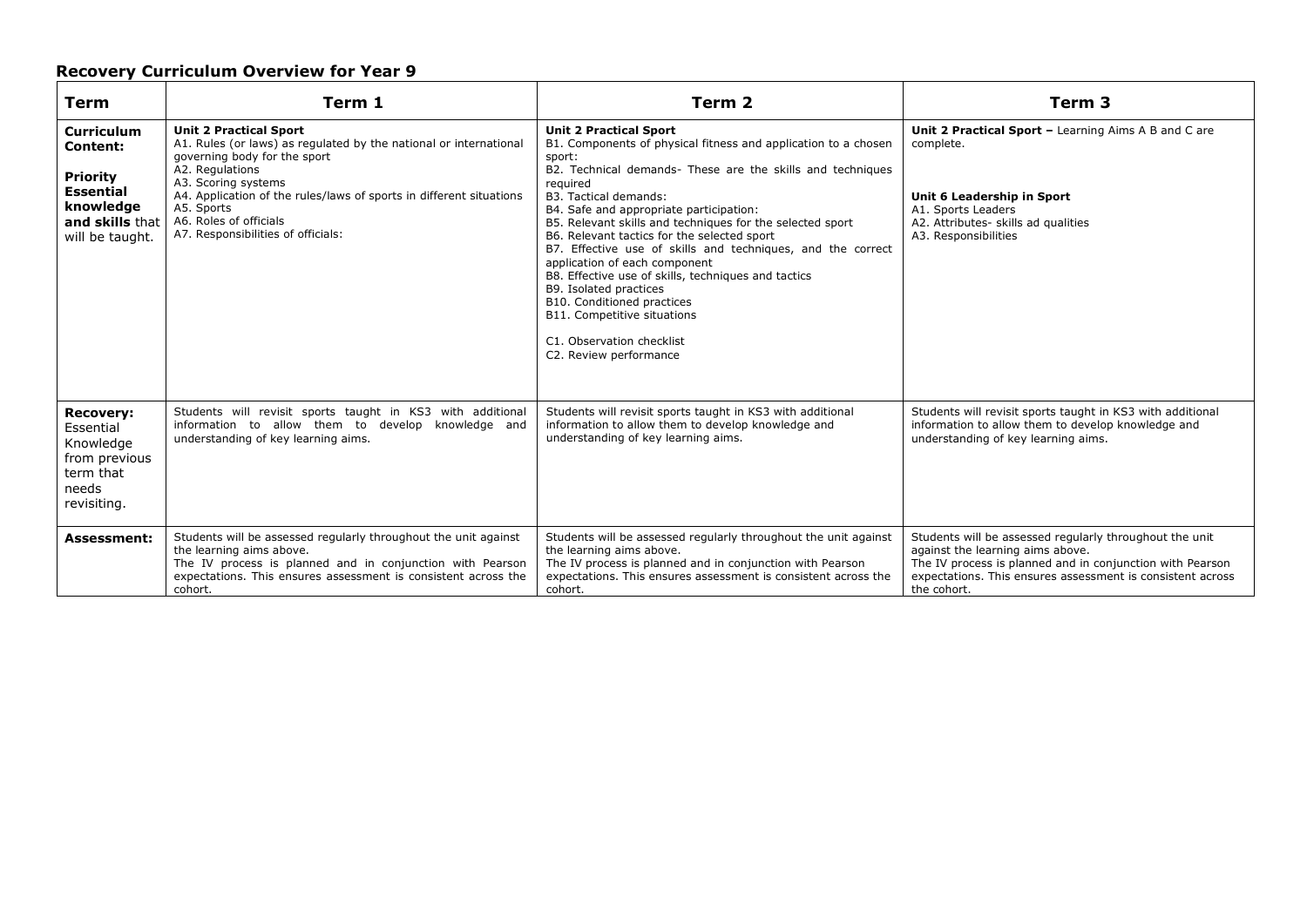| <b>Term</b>                                                                                                             | Term 1                                                                                                                                                                                                                                                                                                                            | Term 2                                                                                                                                                                                                                                                                                                                                                                                                                                                                                                                                                                                                                                                                          | Term 3                                                                                                                                                                                                                                |
|-------------------------------------------------------------------------------------------------------------------------|-----------------------------------------------------------------------------------------------------------------------------------------------------------------------------------------------------------------------------------------------------------------------------------------------------------------------------------|---------------------------------------------------------------------------------------------------------------------------------------------------------------------------------------------------------------------------------------------------------------------------------------------------------------------------------------------------------------------------------------------------------------------------------------------------------------------------------------------------------------------------------------------------------------------------------------------------------------------------------------------------------------------------------|---------------------------------------------------------------------------------------------------------------------------------------------------------------------------------------------------------------------------------------|
| <b>Curriculum</b><br>Content:<br><b>Priority</b><br><b>Essential</b><br>knowledge<br>and skills that<br>will be taught. | <b>Unit 2 Practical Sport</b><br>A1. Rules (or laws) as regulated by the national or international<br>governing body for the sport<br>A2. Regulations<br>A3. Scoring systems<br>A4. Application of the rules/laws of sports in different situations<br>A5. Sports<br>A6. Roles of officials<br>A7. Responsibilities of officials: | <b>Unit 2 Practical Sport</b><br>B1. Components of physical fitness and application to a chosen<br>sport:<br>B2. Technical demands- These are the skills and techniques<br>required<br><b>B3. Tactical demands:</b><br>B4. Safe and appropriate participation:<br>B5. Relevant skills and techniques for the selected sport<br>B6. Relevant tactics for the selected sport<br>B7. Effective use of skills and techniques, and the correct<br>application of each component<br>B8. Effective use of skills, techniques and tactics<br>B9. Isolated practices<br>B10. Conditioned practices<br>B11. Competitive situations<br>C1. Observation checklist<br>C2. Review performance | Unit 2 Practical Sport - Learning Aims A B and C are<br>complete.<br>Unit 6 Leadership in Sport<br>A1. Sports Leaders<br>A2. Attributes- skills ad qualities<br>A3. Responsibilities                                                  |
| <b>Recovery:</b><br>Essential<br>Knowledge<br>from previous<br>term that<br>needs<br>revisiting.                        | Students will revisit sports taught in KS3 with additional<br>information to allow them to develop knowledge and<br>understanding of key learning aims.                                                                                                                                                                           | Students will revisit sports taught in KS3 with additional<br>information to allow them to develop knowledge and<br>understanding of key learning aims.                                                                                                                                                                                                                                                                                                                                                                                                                                                                                                                         | Students will revisit sports taught in KS3 with additional<br>information to allow them to develop knowledge and<br>understanding of key learning aims.                                                                               |
| <b>Assessment:</b>                                                                                                      | Students will be assessed regularly throughout the unit against<br>the learning aims above.<br>The IV process is planned and in conjunction with Pearson<br>expectations. This ensures assessment is consistent across the<br>cohort.                                                                                             | Students will be assessed regularly throughout the unit against<br>the learning aims above.<br>The IV process is planned and in conjunction with Pearson<br>expectations. This ensures assessment is consistent across the<br>cohort.                                                                                                                                                                                                                                                                                                                                                                                                                                           | Students will be assessed regularly throughout the unit<br>against the learning aims above.<br>The IV process is planned and in conjunction with Pearson<br>expectations. This ensures assessment is consistent across<br>the cohort. |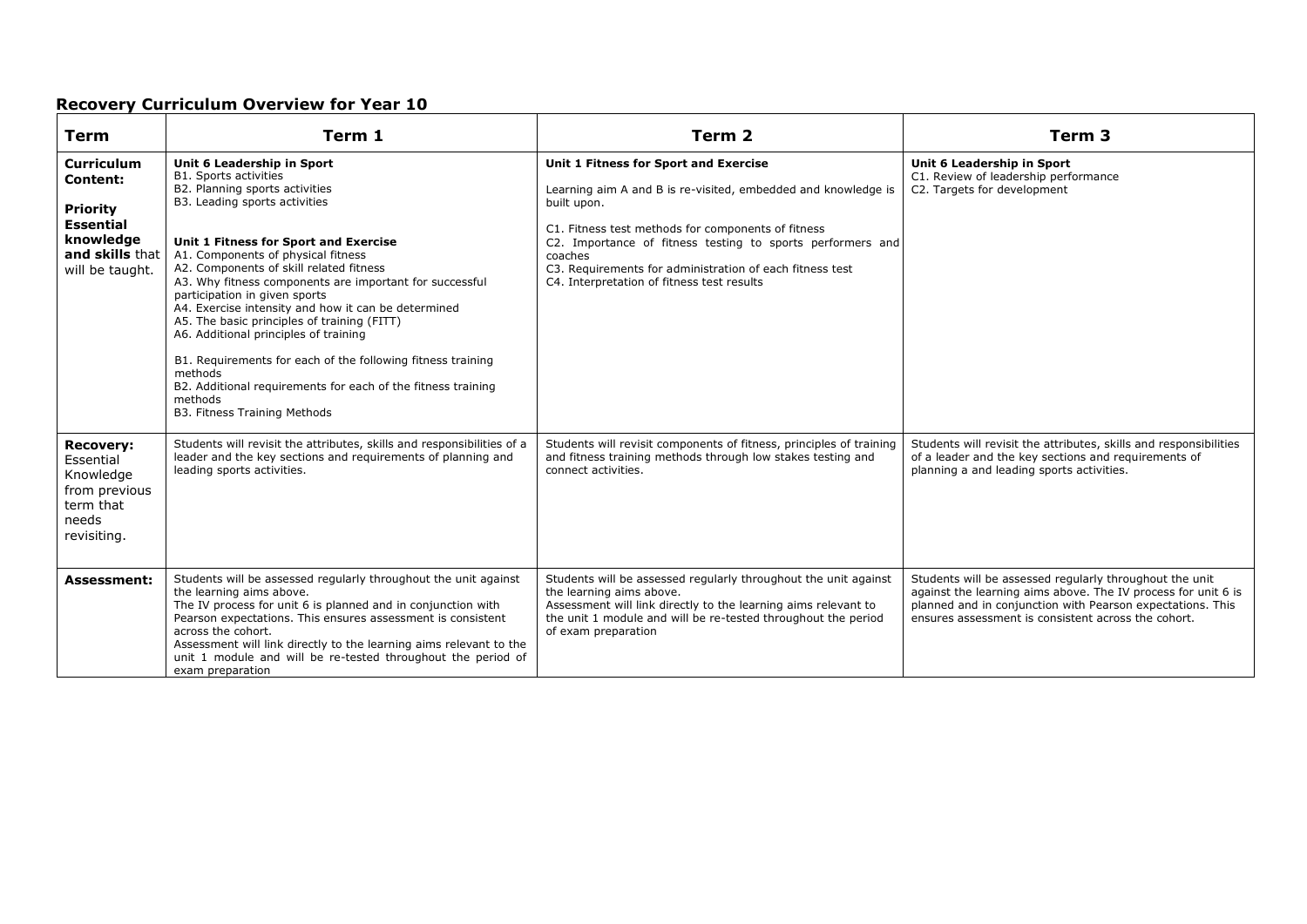| <b>Term</b>                                                                                                                    | Term 1                                                                                                                                                                                                                                                                                                                                                                                                                                                                                                                                                                                                                                                                                  | Term 2                                                                                                                                                                                                                                                                                                                                                         | Term <sub>3</sub>                                                                                                                                                                                                                             |
|--------------------------------------------------------------------------------------------------------------------------------|-----------------------------------------------------------------------------------------------------------------------------------------------------------------------------------------------------------------------------------------------------------------------------------------------------------------------------------------------------------------------------------------------------------------------------------------------------------------------------------------------------------------------------------------------------------------------------------------------------------------------------------------------------------------------------------------|----------------------------------------------------------------------------------------------------------------------------------------------------------------------------------------------------------------------------------------------------------------------------------------------------------------------------------------------------------------|-----------------------------------------------------------------------------------------------------------------------------------------------------------------------------------------------------------------------------------------------|
| <b>Curriculum</b><br><b>Content:</b><br><b>Priority</b><br><b>Essential</b><br>knowledge<br>and skills that<br>will be taught. | Unit 6 Leadership in Sport<br><b>B1. Sports activities</b><br>B2. Planning sports activities<br>B3. Leading sports activities<br>Unit 1 Fitness for Sport and Exercise<br>A1. Components of physical fitness<br>A2. Components of skill related fitness<br>A3. Why fitness components are important for successful<br>participation in given sports<br>A4. Exercise intensity and how it can be determined<br>A5. The basic principles of training (FITT)<br>A6. Additional principles of training<br>B1. Requirements for each of the following fitness training<br>methods<br>B2. Additional requirements for each of the fitness training<br>methods<br>B3. Fitness Training Methods | Unit 1 Fitness for Sport and Exercise<br>Learning aim A and B is re-visited, embedded and knowledge is<br>built upon.<br>C1. Fitness test methods for components of fitness<br>C2. Importance of fitness testing to sports performers and<br>coaches<br>C3. Requirements for administration of each fitness test<br>C4. Interpretation of fitness test results | Unit 6 Leadership in Sport<br>C1. Review of leadership performance<br>C2. Targets for development                                                                                                                                             |
| <b>Recovery:</b><br>Essential<br>Knowledge<br>from previous<br>term that<br>needs<br>revisiting.                               | Students will revisit the attributes, skills and responsibilities of a<br>leader and the key sections and requirements of planning and<br>leading sports activities.                                                                                                                                                                                                                                                                                                                                                                                                                                                                                                                    | Students will revisit components of fitness, principles of training<br>and fitness training methods through low stakes testing and<br>connect activities.                                                                                                                                                                                                      | Students will revisit the attributes, skills and responsibilities<br>of a leader and the key sections and requirements of<br>planning a and leading sports activities.                                                                        |
| <b>Assessment:</b>                                                                                                             | Students will be assessed regularly throughout the unit against<br>the learning aims above.<br>The IV process for unit 6 is planned and in conjunction with<br>Pearson expectations. This ensures assessment is consistent<br>across the cohort.<br>Assessment will link directly to the learning aims relevant to the<br>unit 1 module and will be re-tested throughout the period of<br>exam preparation                                                                                                                                                                                                                                                                              | Students will be assessed regularly throughout the unit against<br>the learning aims above.<br>Assessment will link directly to the learning aims relevant to<br>the unit 1 module and will be re-tested throughout the period<br>of exam preparation                                                                                                          | Students will be assessed regularly throughout the unit<br>against the learning aims above. The IV process for unit 6 is<br>planned and in conjunction with Pearson expectations. This<br>ensures assessment is consistent across the cohort. |